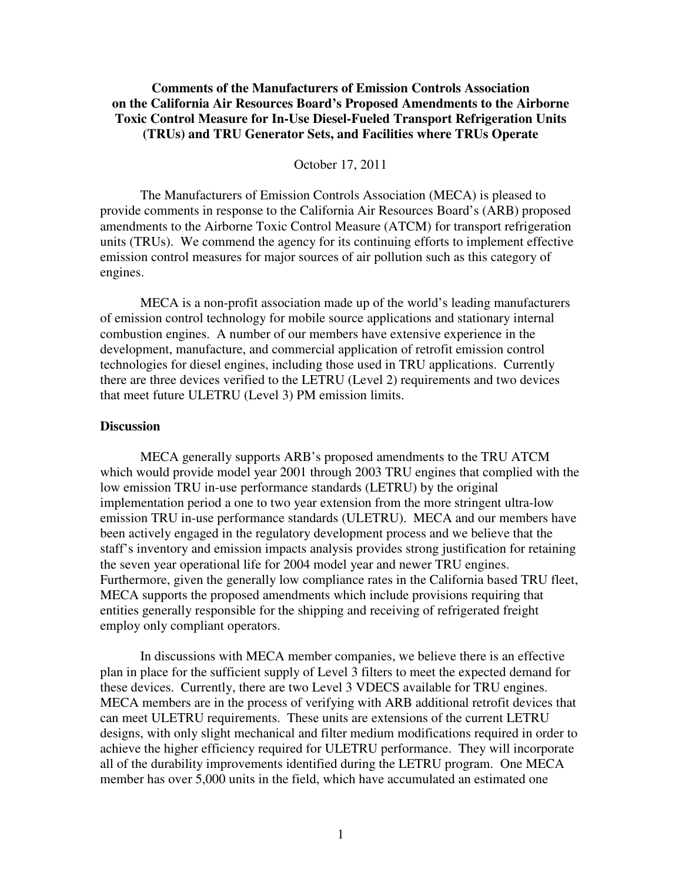# **Comments of the Manufacturers of Emission Controls Association on the California Air Resources Board's Proposed Amendments to the Airborne Toxic Control Measure for In-Use Diesel-Fueled Transport Refrigeration Units (TRUs) and TRU Generator Sets, and Facilities where TRUs Operate**

October 17, 2011

The Manufacturers of Emission Controls Association (MECA) is pleased to provide comments in response to the California Air Resources Board's (ARB) proposed amendments to the Airborne Toxic Control Measure (ATCM) for transport refrigeration units (TRUs). We commend the agency for its continuing efforts to implement effective emission control measures for major sources of air pollution such as this category of engines.

MECA is a non-profit association made up of the world's leading manufacturers of emission control technology for mobile source applications and stationary internal combustion engines. A number of our members have extensive experience in the development, manufacture, and commercial application of retrofit emission control technologies for diesel engines, including those used in TRU applications. Currently there are three devices verified to the LETRU (Level 2) requirements and two devices that meet future ULETRU (Level 3) PM emission limits.

### **Discussion**

 MECA generally supports ARB's proposed amendments to the TRU ATCM which would provide model year 2001 through 2003 TRU engines that complied with the low emission TRU in-use performance standards (LETRU) by the original implementation period a one to two year extension from the more stringent ultra-low emission TRU in-use performance standards (ULETRU). MECA and our members have been actively engaged in the regulatory development process and we believe that the staff's inventory and emission impacts analysis provides strong justification for retaining the seven year operational life for 2004 model year and newer TRU engines. Furthermore, given the generally low compliance rates in the California based TRU fleet, MECA supports the proposed amendments which include provisions requiring that entities generally responsible for the shipping and receiving of refrigerated freight employ only compliant operators.

 In discussions with MECA member companies, we believe there is an effective plan in place for the sufficient supply of Level 3 filters to meet the expected demand for these devices. Currently, there are two Level 3 VDECS available for TRU engines. MECA members are in the process of verifying with ARB additional retrofit devices that can meet ULETRU requirements. These units are extensions of the current LETRU designs, with only slight mechanical and filter medium modifications required in order to achieve the higher efficiency required for ULETRU performance. They will incorporate all of the durability improvements identified during the LETRU program. One MECA member has over 5,000 units in the field, which have accumulated an estimated one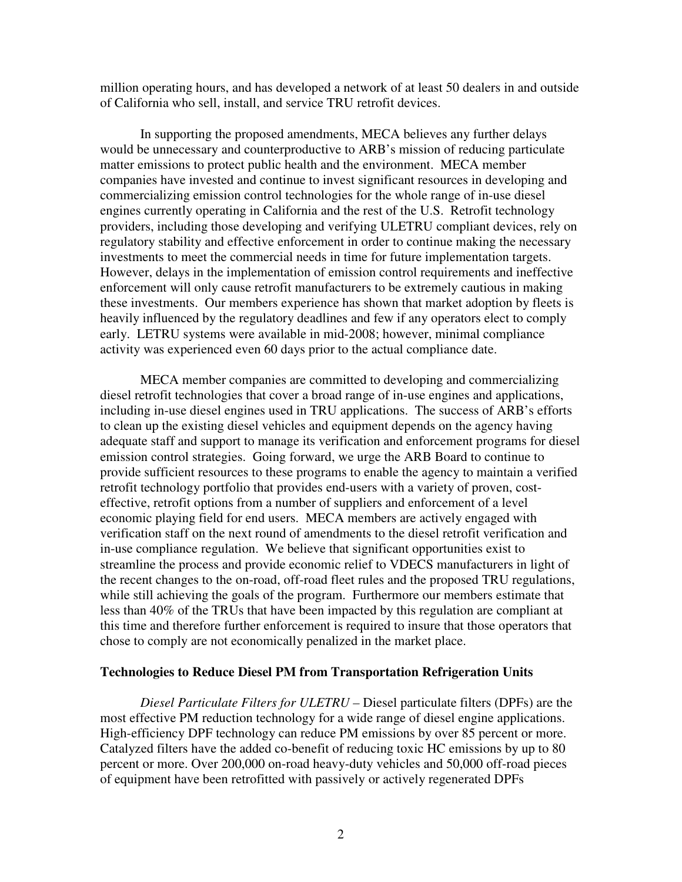million operating hours, and has developed a network of at least 50 dealers in and outside of California who sell, install, and service TRU retrofit devices.

 In supporting the proposed amendments, MECA believes any further delays would be unnecessary and counterproductive to ARB's mission of reducing particulate matter emissions to protect public health and the environment. MECA member companies have invested and continue to invest significant resources in developing and commercializing emission control technologies for the whole range of in-use diesel engines currently operating in California and the rest of the U.S. Retrofit technology providers, including those developing and verifying ULETRU compliant devices, rely on regulatory stability and effective enforcement in order to continue making the necessary investments to meet the commercial needs in time for future implementation targets. However, delays in the implementation of emission control requirements and ineffective enforcement will only cause retrofit manufacturers to be extremely cautious in making these investments. Our members experience has shown that market adoption by fleets is heavily influenced by the regulatory deadlines and few if any operators elect to comply early. LETRU systems were available in mid-2008; however, minimal compliance activity was experienced even 60 days prior to the actual compliance date.

 MECA member companies are committed to developing and commercializing diesel retrofit technologies that cover a broad range of in-use engines and applications, including in-use diesel engines used in TRU applications. The success of ARB's efforts to clean up the existing diesel vehicles and equipment depends on the agency having adequate staff and support to manage its verification and enforcement programs for diesel emission control strategies. Going forward, we urge the ARB Board to continue to provide sufficient resources to these programs to enable the agency to maintain a verified retrofit technology portfolio that provides end-users with a variety of proven, costeffective, retrofit options from a number of suppliers and enforcement of a level economic playing field for end users. MECA members are actively engaged with verification staff on the next round of amendments to the diesel retrofit verification and in-use compliance regulation. We believe that significant opportunities exist to streamline the process and provide economic relief to VDECS manufacturers in light of the recent changes to the on-road, off-road fleet rules and the proposed TRU regulations, while still achieving the goals of the program. Furthermore our members estimate that less than 40% of the TRUs that have been impacted by this regulation are compliant at this time and therefore further enforcement is required to insure that those operators that chose to comply are not economically penalized in the market place.

#### **Technologies to Reduce Diesel PM from Transportation Refrigeration Units**

*Diesel Particulate Filters for ULETRU –* Diesel particulate filters (DPFs) are the most effective PM reduction technology for a wide range of diesel engine applications. High-efficiency DPF technology can reduce PM emissions by over 85 percent or more. Catalyzed filters have the added co-benefit of reducing toxic HC emissions by up to 80 percent or more. Over 200,000 on-road heavy-duty vehicles and 50,000 off-road pieces of equipment have been retrofitted with passively or actively regenerated DPFs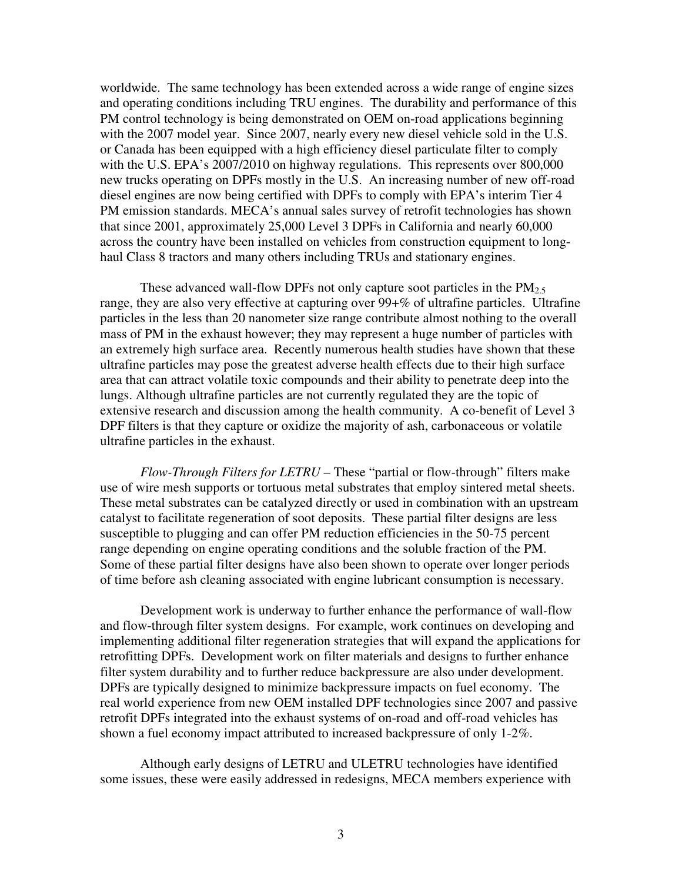worldwide. The same technology has been extended across a wide range of engine sizes and operating conditions including TRU engines. The durability and performance of this PM control technology is being demonstrated on OEM on-road applications beginning with the 2007 model year. Since 2007, nearly every new diesel vehicle sold in the U.S. or Canada has been equipped with a high efficiency diesel particulate filter to comply with the U.S. EPA's 2007/2010 on highway regulations. This represents over 800,000 new trucks operating on DPFs mostly in the U.S. An increasing number of new off-road diesel engines are now being certified with DPFs to comply with EPA's interim Tier 4 PM emission standards. MECA's annual sales survey of retrofit technologies has shown that since 2001, approximately 25,000 Level 3 DPFs in California and nearly 60,000 across the country have been installed on vehicles from construction equipment to longhaul Class 8 tractors and many others including TRUs and stationary engines.

These advanced wall-flow DPFs not only capture soot particles in the  $PM_{2.5}$ range, they are also very effective at capturing over 99+% of ultrafine particles. Ultrafine particles in the less than 20 nanometer size range contribute almost nothing to the overall mass of PM in the exhaust however; they may represent a huge number of particles with an extremely high surface area. Recently numerous health studies have shown that these ultrafine particles may pose the greatest adverse health effects due to their high surface area that can attract volatile toxic compounds and their ability to penetrate deep into the lungs. Although ultrafine particles are not currently regulated they are the topic of extensive research and discussion among the health community. A co-benefit of Level 3 DPF filters is that they capture or oxidize the majority of ash, carbonaceous or volatile ultrafine particles in the exhaust.

*Flow-Through Filters for LETRU –* These "partial or flow-through" filters make use of wire mesh supports or tortuous metal substrates that employ sintered metal sheets. These metal substrates can be catalyzed directly or used in combination with an upstream catalyst to facilitate regeneration of soot deposits. These partial filter designs are less susceptible to plugging and can offer PM reduction efficiencies in the 50-75 percent range depending on engine operating conditions and the soluble fraction of the PM. Some of these partial filter designs have also been shown to operate over longer periods of time before ash cleaning associated with engine lubricant consumption is necessary.

Development work is underway to further enhance the performance of wall-flow and flow-through filter system designs. For example, work continues on developing and implementing additional filter regeneration strategies that will expand the applications for retrofitting DPFs. Development work on filter materials and designs to further enhance filter system durability and to further reduce backpressure are also under development. DPFs are typically designed to minimize backpressure impacts on fuel economy. The real world experience from new OEM installed DPF technologies since 2007 and passive retrofit DPFs integrated into the exhaust systems of on-road and off-road vehicles has shown a fuel economy impact attributed to increased backpressure of only 1-2%.

Although early designs of LETRU and ULETRU technologies have identified some issues, these were easily addressed in redesigns, MECA members experience with